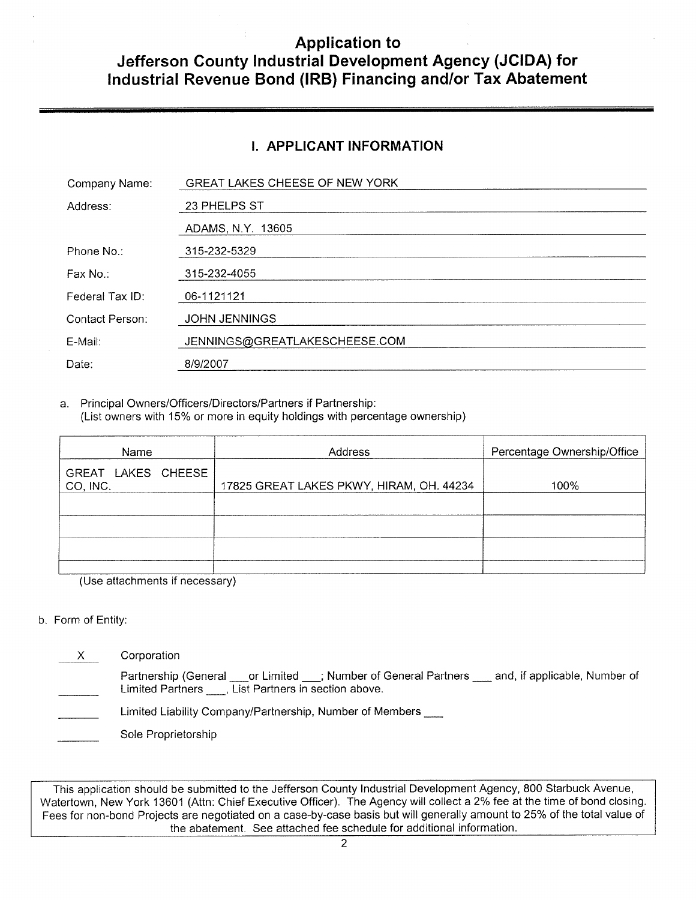## **Application to Jefferson County Industrial Development Agency (JCIDA) for Industrial Revenue Bond (IRB) Financing and/or Tax Abatement**

#### **I. APPLICANT INFORMATION**

| Company Name:   | GREAT LAKES CHEESE OF NEW YORK |
|-----------------|--------------------------------|
| Address:        | 23 PHELPS ST                   |
|                 | ADAMS, N.Y. 13605              |
| Phone No.:      | 315-232-5329                   |
| Fax No.:        | 315-232-4055                   |
| Federal Tax ID: | 06-1121121                     |
| Contact Person: | <b>JOHN JENNINGS</b>           |
| E-Mail:         | JENNINGS@GREATLAKESCHEESE.COM  |
| Date:           | 8/9/2007                       |

a. Principal Owners/Officers/Directors/Partners if Partnership: (List owners with 15% or more in equity holdings with percentage ownership)

| Name                           | Address                                  | Percentage Ownership/Office |  |
|--------------------------------|------------------------------------------|-----------------------------|--|
| GREAT LAKES CHEESE<br>CO, INC. | 17825 GREAT LAKES PKWY, HIRAM, OH. 44234 | 100%                        |  |
|                                |                                          |                             |  |
|                                |                                          |                             |  |
|                                |                                          |                             |  |
|                                |                                          |                             |  |

(Use attachments if necessary)

#### b. Form of Entity:

X Corporation

Partnership (General cor Limited \_\_; Number of General Partners \_\_\_ and, if applicable, Number of Limited Partners , List Partners in section above.

Limited Liability Company/Partnership, Number of Members

Sole Proprietorship

This application should be submitted to the Jefferson County Industrial Development Agency, 800 Starbuck Avenue, Watertown, New York 13601 (Attn: Chief Executive Officer). The Agency will collect a 2% fee at the time of bond closing. Fees for non-bond Projects are negotiated on a case-by-case basis but will generally amount to 25% of the total value of the abatement. See attached fee schedule for additional information.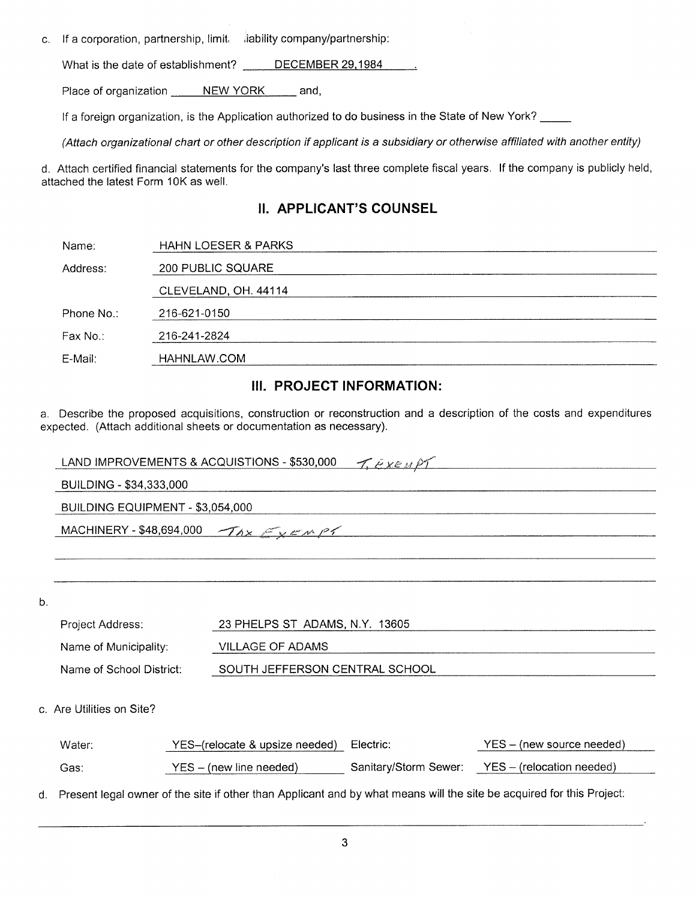c. If a corporation, partnership, limit, , , , , , , , , , ability company/partnership:

What is the date of establishment? DECEMBER 29,1984

Place of organization \_\_\_\_\_ NEW YORK \_\_\_\_ and,

If a foreign organization, is the Application authorized to do business in the State of New York?

(Attach organizational chart or other description if applicant is a subsidiary or otherwise affiliated with another entity)

d. Attach certified financial statements for the company's last three complete fiscal years. If the company is publicly held, attached the latest Form 10K as well.

#### **II. APPLICANT'S COUNSEL**

| Name:      | <b>HAHN LOESER &amp; PARKS</b> |  |
|------------|--------------------------------|--|
| Address:   | 200 PUBLIC SQUARE              |  |
|            | CLEVELAND, OH. 44114           |  |
| Phone No.: | 216-621-0150                   |  |
| Fax No∴    | 216-241-2824                   |  |
| E-Mail:    | HAHNLAW.COM                    |  |
|            |                                |  |

#### **III. PROJECT INFORMATION:**

a. Describe the proposed acquisitions, construction or reconstruction and a description of the costs and expenditures expected. (Attach additional sheets or documentation as necessary).

|       | LAND IMPROVEMENTS & ACQUISTIONS - \$530,000<br>T. EXEMPT |  |                                |                       |                                                                                                                       |
|-------|----------------------------------------------------------|--|--------------------------------|-----------------------|-----------------------------------------------------------------------------------------------------------------------|
|       | BUILDING - \$34,333,000                                  |  |                                |                       |                                                                                                                       |
|       | BUILDING EQUIPMENT - \$3,054,000                         |  |                                |                       |                                                                                                                       |
|       | MACHINERY - \$48,694,000                                 |  | The Exempt                     |                       |                                                                                                                       |
|       |                                                          |  |                                |                       |                                                                                                                       |
|       |                                                          |  |                                |                       |                                                                                                                       |
| $b$ . |                                                          |  |                                |                       |                                                                                                                       |
|       | Project Address:                                         |  | 23 PHELPS ST ADAMS, N.Y. 13605 |                       |                                                                                                                       |
|       | Name of Municipality:                                    |  | <b>VILLAGE OF ADAMS</b>        |                       |                                                                                                                       |
|       | Name of School District:                                 |  | SOUTH JEFFERSON CENTRAL SCHOOL |                       |                                                                                                                       |
|       |                                                          |  |                                |                       |                                                                                                                       |
|       | c. Are Utilities on Site?                                |  |                                |                       |                                                                                                                       |
|       | Water:                                                   |  | YES-(relocate & upsize needed) | Electric:             | YES – (new source needed)                                                                                             |
|       | Gas:                                                     |  | YES - (new line needed)        | Sanitary/Storm Sewer: | YES - (relocation needed)                                                                                             |
| d.    |                                                          |  |                                |                       | Present legal owner of the site if other than Applicant and by what means will the site be acquired for this Project: |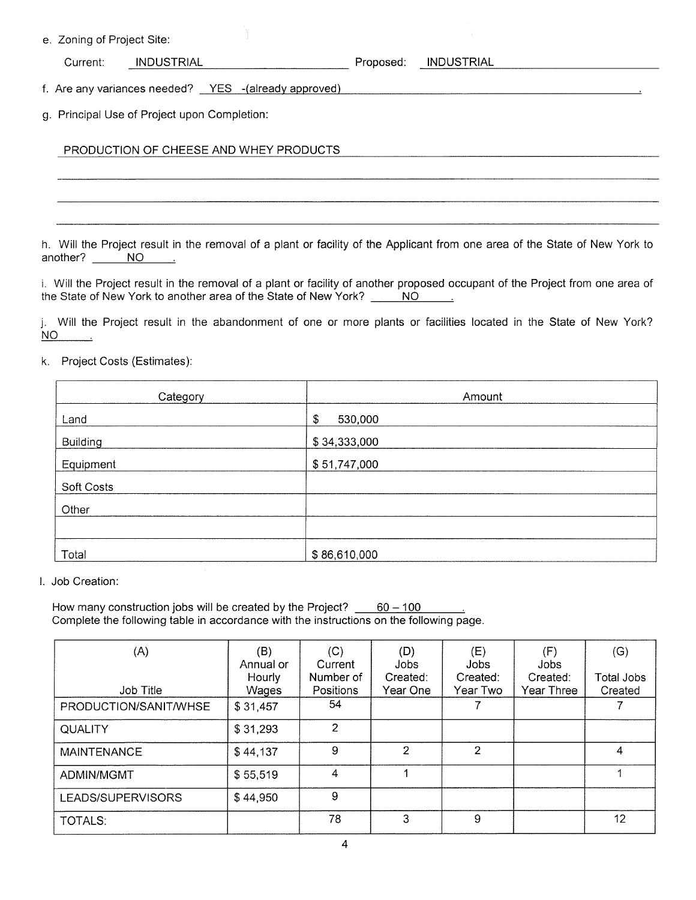e. Zoning of Project Site:

| INDUSTRIAL<br>INDUSTRIAL<br>Current:<br>Proposed: |
|---------------------------------------------------|
|---------------------------------------------------|

f. Are any variances needed? YES -(already approved)

g. Principal Use of Project upon Completion:

#### PRODUCTION OF CHEESE AND WHEY PRODUCTS

h. Will the Project result in the removal of a plant or facility of the Applicant from one area of the State of New York to another? NO

i. Will the Project result in the removal of a plant or facility of another proposed occupant of the Project from one area of the State of New York to another area of the State of New York? the State of New York to another area of the State of New York?

j. Will the Project result in the abandonment of one or more plants or facilities located in the State of New York? NO  $\sim$ 

#### k. Project Costs (Estimates):

| Category   | Amount        |
|------------|---------------|
| Land       | \$<br>530,000 |
| Building   | \$34,333,000  |
| Equipment  | \$51,747,000  |
| Soft Costs |               |
| Other      |               |
|            |               |
| Total      | \$86,610,000  |

I. Job Creation:

How many construction jobs will be created by the Project?  $60 - 100$ Complete the following table in accordance with the instructions on the following page.

| (A)                   | (B)<br>Annual or | (C)<br>Current         | (D)<br>Jobs          | (E)<br>Jobs          | (F)<br>Jobs            | (G)                   |
|-----------------------|------------------|------------------------|----------------------|----------------------|------------------------|-----------------------|
| Job Title             | Hourly<br>Wages  | Number of<br>Positions | Created:<br>Year One | Created:<br>Year Two | Created:<br>Year Three | Total Jobs<br>Created |
| PRODUCTION/SANIT/WHSE | \$31,457         | 54                     |                      |                      |                        |                       |
| <b>QUALITY</b>        | \$31,293         | 2                      |                      |                      |                        |                       |
| <b>MAINTENANCE</b>    | \$44,137         | 9                      | $\mathcal{P}$        | $\mathcal{P}$        |                        | 4                     |
| <b>ADMIN/MGMT</b>     | \$55,519         | $\overline{4}$         |                      |                      |                        |                       |
| LEADS/SUPERVISORS     | \$44,950         | 9                      |                      |                      |                        |                       |
| TOTALS:               |                  | 78                     | 3                    | 9                    |                        | 12                    |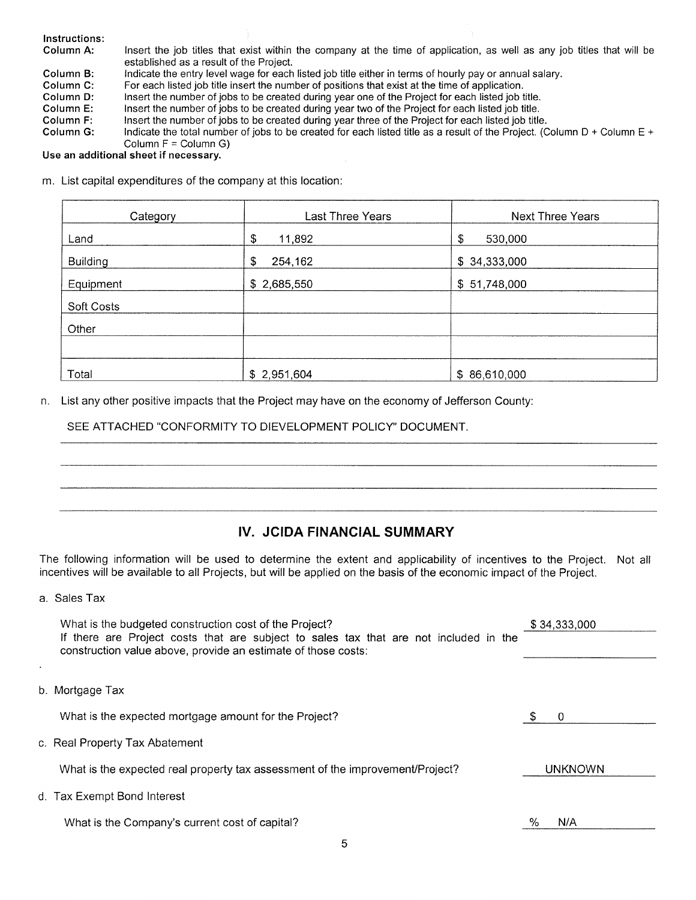| Instructions: |                                                                                                                                                                   |
|---------------|-------------------------------------------------------------------------------------------------------------------------------------------------------------------|
| Column A:     | Insert the job titles that exist within the company at the time of application, as well as any job titles that will be<br>established as a result of the Project. |
| Column B:     | Indicate the entry level wage for each listed job title either in terms of hourly pay or annual salary.                                                           |
| Column C:     | For each listed job title insert the number of positions that exist at the time of application.                                                                   |
| Column D:     | Insert the number of jobs to be created during year one of the Project for each listed job title.                                                                 |
| Column E:     | Insert the number of jobs to be created during year two of the Project for each listed job title.                                                                 |
| Column F:     | Insert the number of jobs to be created during year three of the Project for each listed job title.                                                               |
| Column G:     | Indicate the total number of jobs to be created for each listed title as a result of the Project. (Column D + Column E +                                          |
|               | Column $F =$ Column G)                                                                                                                                            |

#### **Use an additional sheet if necessary.**

m. List capital expenditures of the company at this location:

| Category   | Last Three Years | <b>Next Three Years</b> |
|------------|------------------|-------------------------|
| Land       | \$<br>11,892     | \$<br>530,000           |
| Building   | \$<br>254,162    | \$34,333,000            |
| Equipment  | \$2,685,550      | \$51,748,000            |
| Soft Costs |                  |                         |
| Other      |                  |                         |
|            |                  |                         |
| Total      | \$2,951,604      | \$86,610,000            |

n. List any other positive impacts that the Project may have on the economy of Jefferson County:

SEE ATTACHED "CONFORMITY TO DIEVELOPMENT POLICY" DOCUMENT.

#### **IV. JCIDA FINANCIAL SUMMARY**

The following information will be used to determine the extent and applicability of incentives to the Project. Not all incentives will be available to all Projects, but will be applied on the basis of the economic impact of the Project.

a. Sales Tax

 $\cdot$ 

| What is the budgeted construction cost of the Project?                                                                                                 | \$34,333,000   |
|--------------------------------------------------------------------------------------------------------------------------------------------------------|----------------|
| If there are Project costs that are subject to sales tax that are not included in the<br>construction value above, provide an estimate of those costs: |                |
|                                                                                                                                                        |                |
|                                                                                                                                                        |                |
| b. Mortgage Tax                                                                                                                                        |                |
| What is the expected mortgage amount for the Project?                                                                                                  | 0              |
| c. Real Property Tax Abatement                                                                                                                         |                |
| What is the expected real property tax assessment of the improvement/Project?                                                                          | <b>UNKNOWN</b> |
| d. Tax Exempt Bond Interest                                                                                                                            |                |
| What is the Company's current cost of capital?                                                                                                         | N/A<br>%       |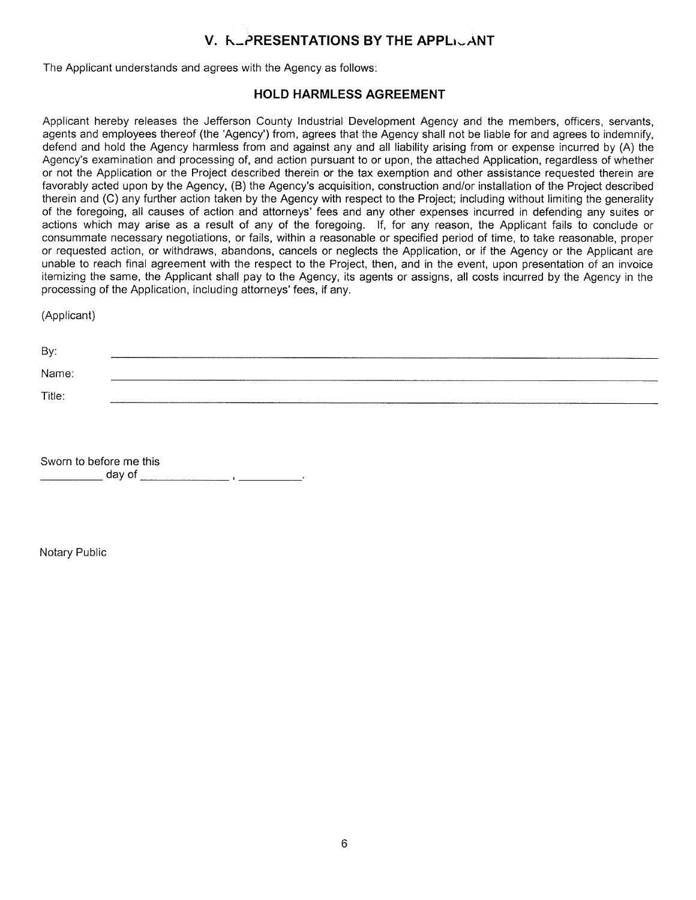## **V. F-PRESENTATIONS BY THE APPLICANT**

The Applicant understands and agrees with the Agency as follows:

#### **HOLD HARMLESS AGREEMENT**

Applicant hereby releases the Jefferson County Industrial Development Agency and the members, officers, servants, agents and employees thereof (the 'Agency') from, agrees that the Agency shall not be liable for and agrees to indemnify, defend and hold the Agency harmless from and against any and all liability arising from or expense incurred by (A) the Agency's examination and processing of, and action pursuant to or upon, the attached Application, regardless of whether or not the Application or the Project described therein or the tax exemption and other assistance requested therein are favorably acted upon by the Agency, (B) the Agency's acquisition, construction and/or installation of the Project described therein and (C) any further action taken by the Agency with respect to the Project; including without limiting the generality of the foregoing, all causes of action and attorneys' fees and any other expenses incurred in defending any suites or actions which may arise as a result of any of the foregoing. If, for any reason, the Applicant fails to conclude or consummate necessary negotiations, or fails, within a reasonable or specified period of time, to take reasonable, proper or requested action, or withdraws, abandons, cancels or neglects the Application, or if the Agency or the Applicant are unable to reach final agreement with the respect to the Project, then, and in the event, upon presentation of an invoice itemizing the same, the Applicant shall pay to the Agency, its agents or assigns, all costs incurred by the Agency in the processing of the Application, including attorneys' fees, if any.

(Applicant)

| By:    |  |
|--------|--|
| Name:  |  |
| Title: |  |

Sworn to before me this \_\_\_\_\_\_\_\_ day of \_\_\_\_\_\_\_\_\_\_\_\_\_\_\_\_\_\_\_\_ , \_\_\_\_\_\_\_\_\_\_\_

Notary Public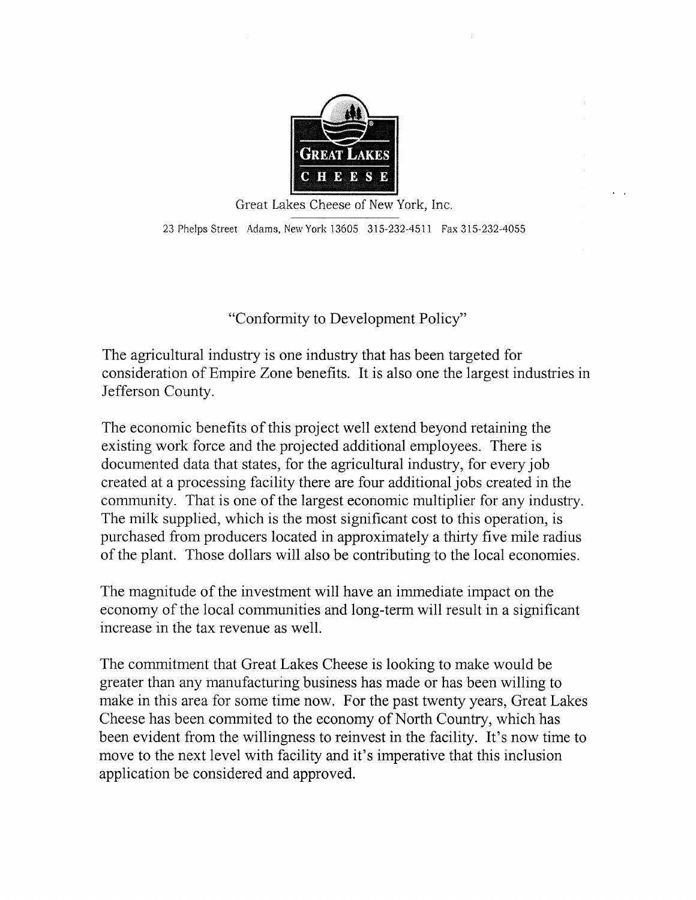

Great Lakes Cheese of New York, Inc. 23 Phelps Street Adams, New York 13605 315-232-4511 Fax 315-232-4055

"Conformity to Development Policy"

The agricultural industry is one industry that has been targeted for consideration of Empire Zone benefits. It is also one the largest industries in Jefferson County.

The economic benefits of this project well extend beyond retaining the existing work force and the projected additional employees. There is documented data that states, for the agricultural industry, for every job created at a processing facility there are four additional jobs created in the community. That is one of the largest economic multiplier for any industry. The milk supplied, which is the most significant cost to this operation, is purchased from producers located in approximately a thirty five mile radius of the plant. Those dollars will also be contributing to the local economies.

The magnitude of the investment will have an immediate impact on the economy of the local communities and long-term will result in a significant increase in the tax revenue as well.

The commitment that Great Lakes Cheese is looking to make would be greater than any manufacturing business has made or has been willing to make in this area for some time now. For the past twenty years, Great Lakes Cheese has been commited to the economy of North Country, which has been evident from the willingness to reinvest in the facility. It's now time to move to the next level with facility and it's imperative that this inclusion application be considered and approved.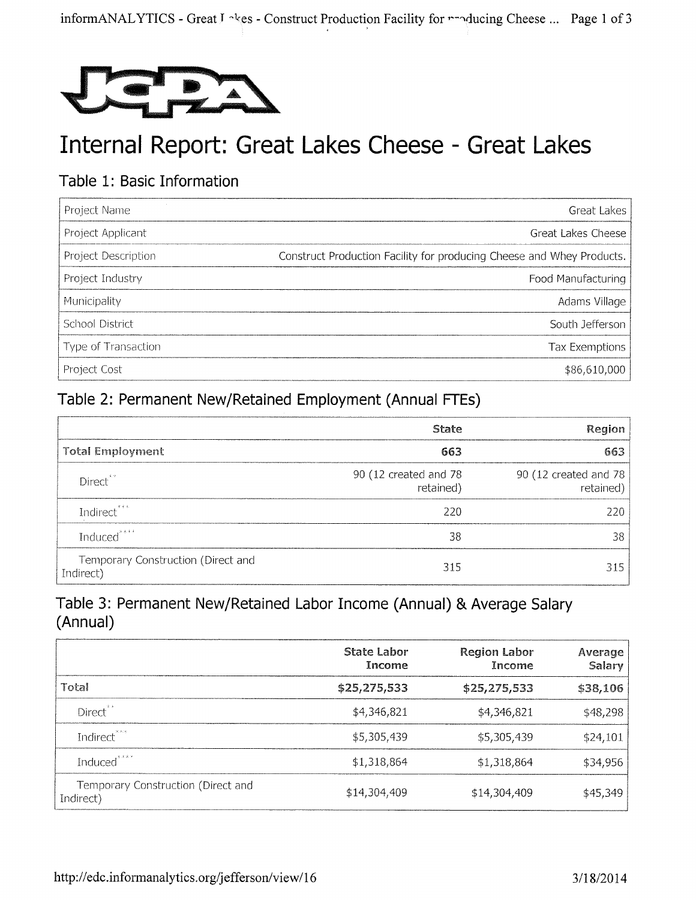

# Internal Report: Great Lakes Cheese - Great Lakes

## Table 1: Basic Information

| Project Name        | Great Lakes                                                           |
|---------------------|-----------------------------------------------------------------------|
| Project Applicant   | Great Lakes Cheese                                                    |
| Project Description | Construct Production Facility for producing Cheese and Whey Products. |
| Project Industry    | Food Manufacturing                                                    |
| Municipality        | Adams Village                                                         |
| School District     | South Jefferson                                                       |
| Type of Transaction | Tax Exemptions                                                        |
| Project Cost        | \$86,610,000                                                          |

## Table 2: Permanent New/Retained Employment (Annual FTEs)

|                                                 | <b>State</b>                       | <b>Region</b>                          |
|-------------------------------------------------|------------------------------------|----------------------------------------|
| <b>Total Employment</b>                         | 663                                | 663                                    |
| Direct <sup>**</sup>                            | 90 (12 created and 78<br>retained) | 90 (12 created and 78 $ $<br>retained) |
| Indirect <sup>***</sup>                         | 220                                | 220.                                   |
| Induced <sup>****</sup>                         | 38                                 | 38                                     |
| Temporary Construction (Direct and<br>Indirect) | 315                                | 315                                    |

## Table 3: Permanent New/Retained Labor Income (Annual) & Average Salary (Annual)

|                                                 | <b>State Labor</b><br>Income | <b>Region Labor</b><br>Income | Average<br><b>Salary</b> |
|-------------------------------------------------|------------------------------|-------------------------------|--------------------------|
| Total                                           | \$25,275,533                 | \$25,275,533                  | \$38,106                 |
| Direct <sup>**</sup>                            | \$4,346,821                  | \$4,346,821                   | \$48,298                 |
| Indirect <sup>ssee</sup>                        | \$5,305,439                  | \$5,305,439                   | \$24,101                 |
| Induced <sup>****</sup>                         | \$1,318,864                  | \$1,318,864                   | \$34,956                 |
| Temporary Construction (Direct and<br>Indirect) | \$14,304,409                 | \$14,304,409                  | \$45,349                 |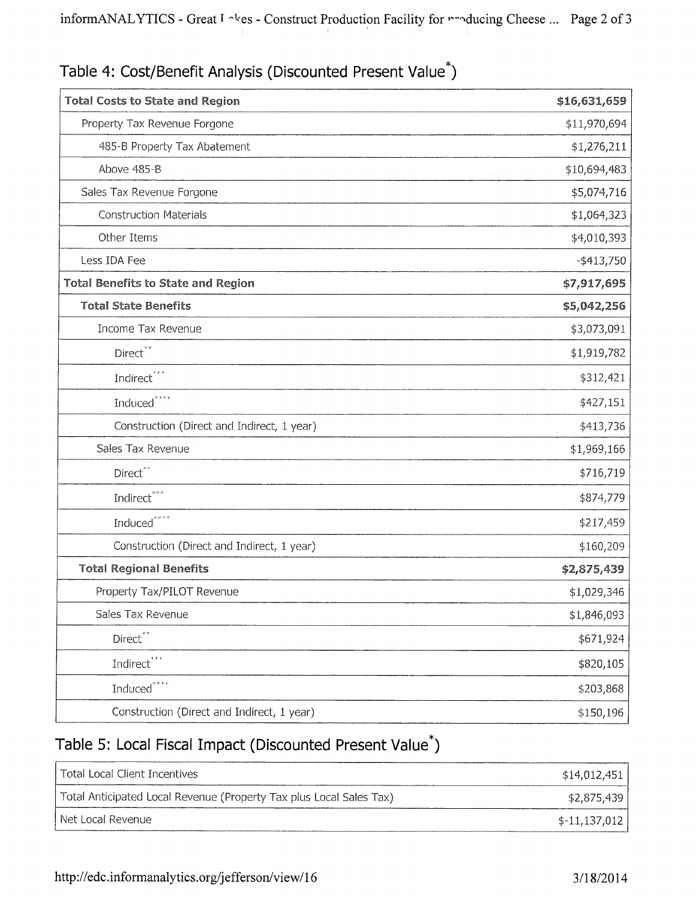| <b>Total Costs to State and Region</b>     | \$16,631,659  |
|--------------------------------------------|---------------|
| Property Tax Revenue Forgone               | \$11,970,694  |
| 485-B Property Tax Abatement               | \$1,276,211   |
| Above 485-B                                | \$10,694,483  |
| Sales Tax Revenue Forgone                  | \$5,074,716   |
| <b>Construction Materials</b>              | \$1,064,323   |
| Other Items                                | \$4,010,393   |
| Less IDA Fee                               | $-$ \$413,750 |
| <b>Total Benefits to State and Region</b>  | \$7,917,695   |
| <b>Total State Benefits</b>                | \$5,042,256   |
| Income Tax Revenue                         | \$3,073,091   |
| Direct**                                   | \$1,919,782   |
| Indirect <sup>***</sup>                    | \$312,421     |
| Induced <sup>****</sup>                    | \$427,151     |
| Construction (Direct and Indirect, 1 year) | \$413,736     |
| Sales Tax Revenue                          | \$1,969,166   |
| Direct <sup>**</sup>                       | \$716,719     |
| Indirect***                                | \$874,779     |
| Induced <sup>****</sup>                    | \$217,459     |
| Construction (Direct and Indirect, 1 year) | \$160,209     |
| <b>Total Regional Benefits</b>             | \$2,875,439   |
| Property Tax/PILOT Revenue                 | \$1,029,346   |
| Sales Tax Revenue                          | \$1,846,093   |
| Direct <sup>**</sup>                       | \$671,924     |
| Indirect***                                | \$820,105     |
| Induced $i***$                             | \$203,868     |
| Construction (Direct and Indirect, 1 year) | \$150,196     |

# Table 4: Cost/Benefit Analysis (Discounted Present Value\*)

# Table 5: Local Fiscal Impact (Discounted Present Value\*)

| I Total Local Client Incentives                                     | \$14,012,451   |
|---------------------------------------------------------------------|----------------|
| Total Anticipated Local Revenue (Property Tax plus Local Sales Tax) | \$2,875,439    |
| l Net Local Revenue                                                 | $$-11,137,012$ |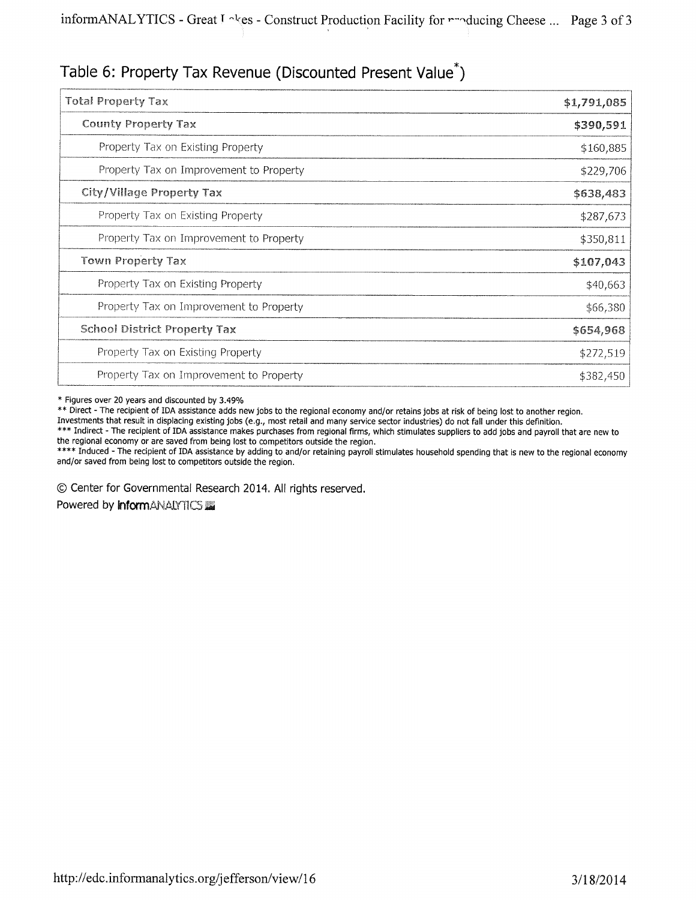# Table 6: Property Tax Revenue (Discounted Present Value\*)

| <b>Total Property Tax</b>               | \$1,791,085 |
|-----------------------------------------|-------------|
| <b>County Property Tax</b>              | \$390,591   |
| Property Tax on Existing Property       | \$160,885   |
| Property Tax on Improvement to Property | \$229,706   |
| City/Village Property Tax               | \$638,483   |
| Property Tax on Existing Property       | \$287,673   |
| Property Tax on Improvement to Property | \$350,811   |
| <b>Town Property Tax</b>                | \$107,043   |
| Property Tax on Existing Property       | \$40,663    |
| Property Tax on Improvement to Property | \$66,380    |
| <b>School District Property Tax</b>     | \$654,968   |
| Property Tax on Existing Property       | \$272,519   |
| Property Tax on Improvement to Property | \$382,450   |

\* Figures over 20 years and discounted by 3.49%

\*\* Direct - The recipient of IDA assistance adds new jobs to the regional economy and/or retains jobs at risk of being lost to another region.

Investments that result in displacing existing jobs (e.g., most retail and many service sector industries) do not fall under this definition.

\*\*\* Indirect - The recipient of IDA assistance makes purchases from regional firms, which stimulates suppliers to add jobs and payroll that are new to the regional economy or are saved from being lost to competitors outside the region.

\*\*\*\* Induced - The recipient of IDA assistance by adding to and/or retaining payroll stimulates household spending that is new to the regional economy and/or saved from being lost to competitors outside the region.

0 Center for Governmental Research 2014. All rights reserved.

Powered by **informANAIYTICS**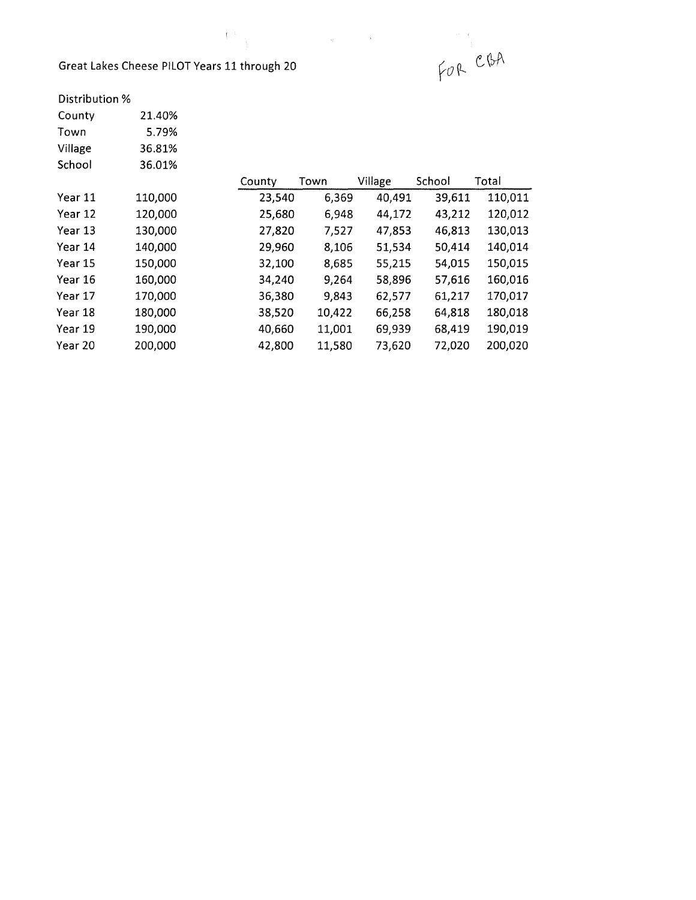### Great Lakes Cheese PILOT Years 11 through 20

 $\begin{smallmatrix} &1&1\\1&1&\\&1&\\&&1\end{smallmatrix}$ 

|        | st. |         |
|--------|-----|---------|
| ugh 20 |     | FOR CBA |

### Distribution %

| County             | 21.40%  |  |
|--------------------|---------|--|
| Town               | 5.79%   |  |
| Village            | 36.81%  |  |
| School             | 36.01%  |  |
|                    |         |  |
| Year 11            | 110,000 |  |
| Year 12            | 120,000 |  |
| Year 13            | 130,000 |  |
| Year 14            | 140,000 |  |
| Year 15            | 150,000 |  |
| Year 16            | 160,000 |  |
| Year 17            | 170,000 |  |
| Year 18            | 180,000 |  |
| Year 19            | 190,000 |  |
| <u> V - - - าก</u> | ההה ההי |  |

|         |         | County | Town   | Village | School | Total   |
|---------|---------|--------|--------|---------|--------|---------|
| Year 11 | 110,000 | 23,540 | 6,369  | 40,491  | 39,611 | 110,011 |
| Year 12 | 120,000 | 25,680 | 6,948  | 44,172  | 43,212 | 120,012 |
| Year 13 | 130,000 | 27,820 | 7,527  | 47,853  | 46,813 | 130,013 |
| Year 14 | 140,000 | 29,960 | 8,106  | 51,534  | 50,414 | 140,014 |
| Year 15 | 150,000 | 32,100 | 8,685  | 55,215  | 54,015 | 150,015 |
| Year 16 | 160,000 | 34,240 | 9,264  | 58,896  | 57,616 | 160,016 |
| Year 17 | 170,000 | 36,380 | 9,843  | 62,577  | 61,217 | 170,017 |
| Year 18 | 180,000 | 38,520 | 10,422 | 66,258  | 64,818 | 180,018 |
| Year 19 | 190,000 | 40,660 | 11,001 | 69,939  | 68,419 | 190,019 |
| Year 20 | 200,000 | 42,800 | 11,580 | 73,620  | 72,020 | 200,020 |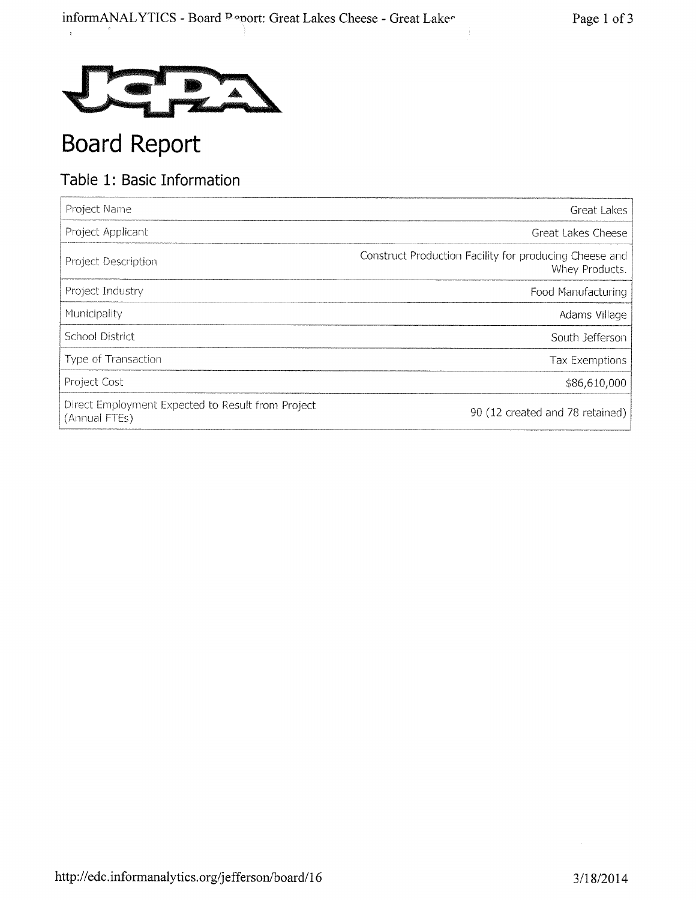

# Board Report

# Table 1: Basic Information

| Project Name                                                       | Great Lakes                                                              |
|--------------------------------------------------------------------|--------------------------------------------------------------------------|
| Project Applicant                                                  | Great Lakes Cheese                                                       |
| Project Description                                                | Construct Production Facility for producing Cheese and<br>Whey Products. |
| Project Industry                                                   | Food Manufacturing                                                       |
| Municipality                                                       | Adams Village                                                            |
| School District                                                    | South Jefferson                                                          |
| Type of Transaction                                                | Tax Exemptions                                                           |
| Project Cost                                                       | \$86,610,000                                                             |
| Direct Employment Expected to Result from Project<br>(Annual FTEs) | 90 (12 created and 78 retained)                                          |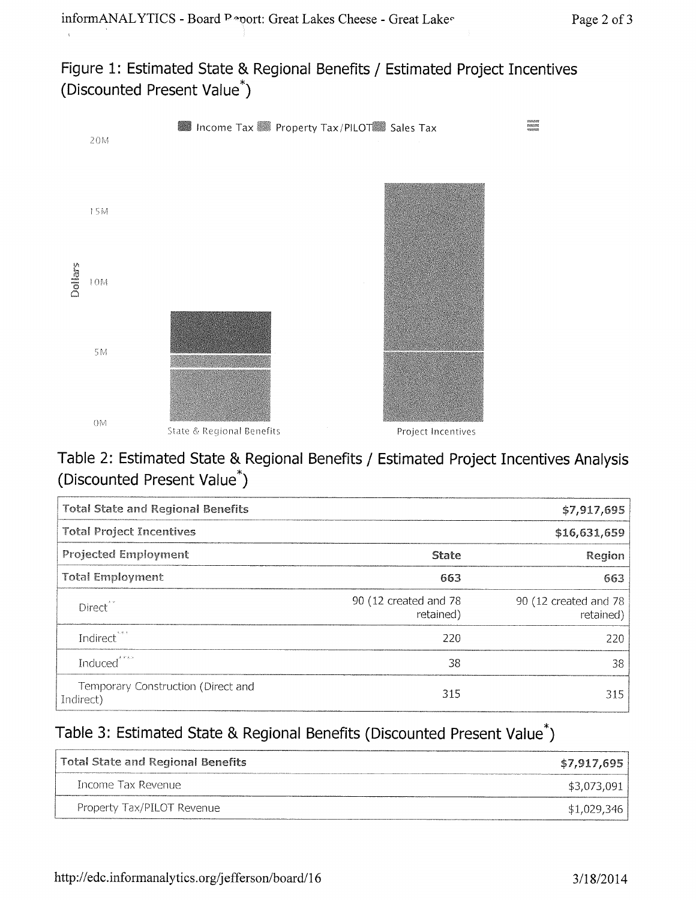Figure 1: Estimated State & Regional Benefits / Estimated Project Incentives (Discounted Present Value\*)



# Table 2: Estimated State & Regional Benefits / Estimated Project Incentives Analysis (Discounted Present Value\*)

| <b>Total State and Regional Benefits</b>        |                                    | \$7,917,695                        |
|-------------------------------------------------|------------------------------------|------------------------------------|
| <b>Total Project Incentives</b>                 |                                    | \$16,631,659                       |
| <b>Projected Employment</b>                     | <b>State</b>                       | Region                             |
| <b>Total Employment</b>                         | 663                                | 663                                |
| Direct <sup>**</sup>                            | 90 (12 created and 78<br>retained) | 90 (12 created and 78<br>retained) |
| Indirect <sup>***</sup>                         | 220                                | 220                                |
| Induced <sup>****</sup>                         | 38                                 | 38                                 |
| Temporary Construction (Direct and<br>Indirect) | 315                                | 315                                |

# Table 3: Estimated State & Regional Benefits (Discounted Present Value\*)

| Total State and Regional Benefits | \$7,917,695 |
|-----------------------------------|-------------|
| Thcome Tax Revenue                | \$3,073,091 |
| Property Tax/PILOT Revenue        | \$1,029,346 |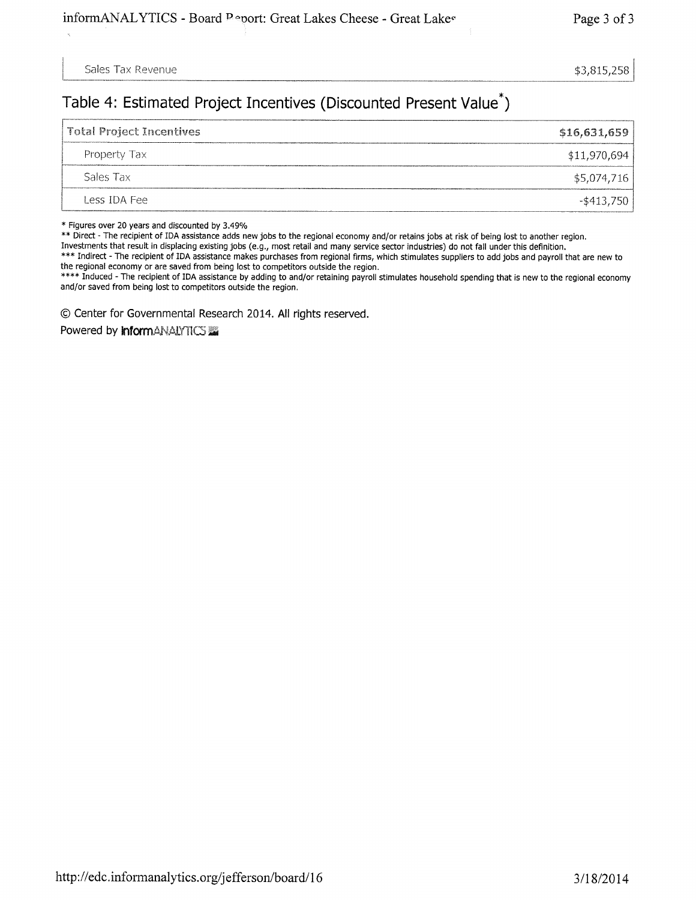Sales Tax Revenue  $$3,815,258$ 

## Table 4: Estimated Project Incentives (Discounted Present Value\*)

| Total Project Incentives | \$16,631,659 |
|--------------------------|--------------|
| Property Tax             | \$11,970,694 |
| Sales Tax                | \$5,074,716  |
| Less IDA Fee             | -\$413,750   |

\* Figures over 20 years and discounted by 3.49%

\*\* Direct - The recipient of IDA assistance adds new jobs to the regional economy and/or retains jobs at risk of being lost to another region.

Investments that result in displacing existing jobs (e.g., most retail and many service sector industries) do not fall under this definition.

\*\*\* Indirect - The recipient of IDA assistance makes purchases from regional firms, which stimulates suppliers to add jobs and payroll that are new to the regional economy or are saved from being lost to competitors outside the region.

\*\*\*\* Induced - The recipient of IDA assistance by adding to and/or retaining payroll stimulates household spending that is new to the regional economy and/or saved from being lost to competitors outside the region.

C) Center for Governmental Research 2014. All rights reserved.

Powered by **InformANALYTICS**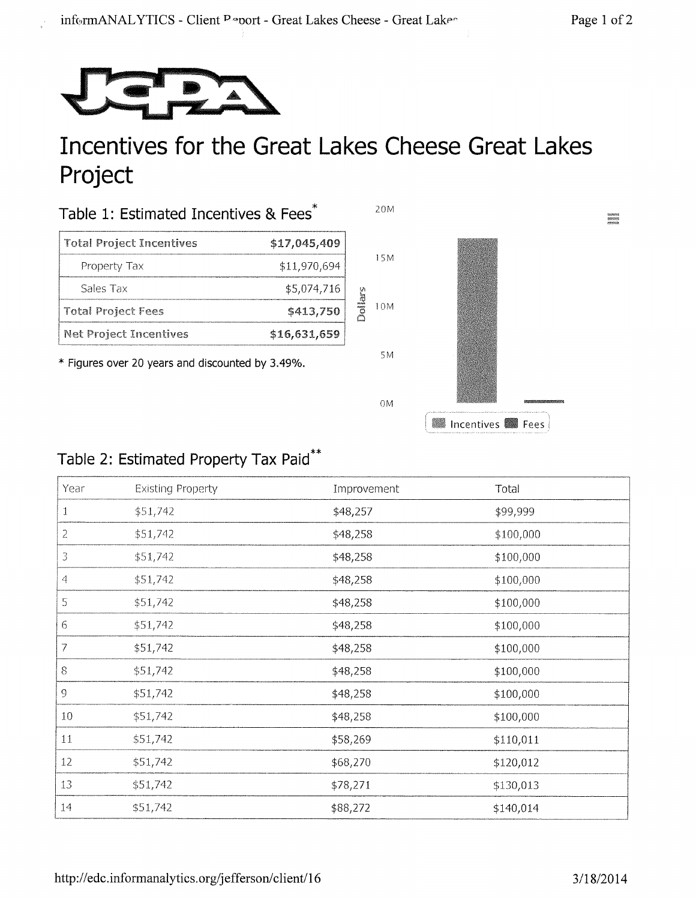REFORM<br>MARINER<br>MANAGER



# Incentives for the Great Lakes Cheese Great Lakes **Project**

| Table 1: Estimated Incentives & Fees |              |  |  |
|--------------------------------------|--------------|--|--|
| <b>Total Project Incentives</b>      | \$17,045,409 |  |  |
| Property Tax                         | \$11,970,694 |  |  |
| Sales Tax                            | \$5,074,716  |  |  |
| <b>Total Project Fees</b>            | \$413,750    |  |  |
| Net Project Incentives               | \$16,631,659 |  |  |

\* Figures over 20 years and discounted by 3.49%.



# Table 2: Estimated Property Tax Paid\*\*

| Year           | <b>Existing Property</b> | Improvement | Total     |
|----------------|--------------------------|-------------|-----------|
| $\mathbf{1}$   | \$51,742                 | \$48,257    | \$99,999  |
| $\overline{2}$ | \$51,742                 | \$48,258    | \$100,000 |
| 3              | \$51,742                 | \$48,258    | \$100,000 |
| 4              | \$51,742                 | \$48,258    | \$100,000 |
| 5              | \$51,742                 | \$48,258    | \$100,000 |
| 6              | \$51,742                 | \$48,258    | \$100,000 |
| 7              | \$51,742                 | \$48,258    | \$100,000 |
| $8\,$          | \$51,742                 | \$48,258    | \$100,000 |
| $\mathfrak g$  | \$51,742                 | \$48,258    | \$100,000 |
| $10\,$         | \$51,742                 | \$48,258    | \$100,000 |
| $11\,$         | \$51,742                 | \$58,269    | \$110,011 |
| 12             | \$51,742                 | \$68,270    | \$120,012 |
| 13             | \$51,742                 | \$78,271    | \$130,013 |
| 14             | \$51,742                 | \$88,272    | \$140,014 |